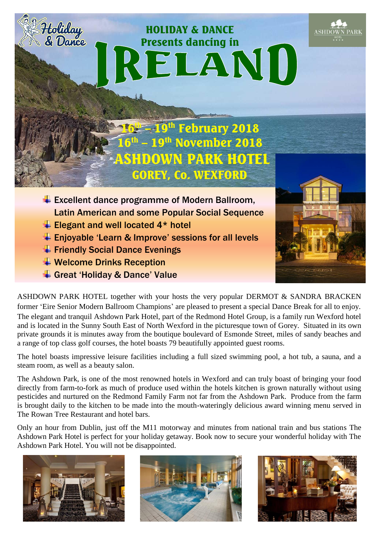# IRELANI

HOLIDAY & DANCE

16th –19<sup>th</sup> February 2018  $16<sup>th</sup>$ November 2018 N PARK HOTEL GOREY, Co. WEXFORD

- $\overline{\text{L}}$  Excellent dance programme of Modern Ballroom, Latin American and some Popular Social Sequence
- $\overline{\text{E}}$  Elegant and well located 4\* hotel
- Enjoyable 'Learn & Improve' sessions for all levels
- $\overline{\phantom{a}}$  Friendly Social Dance Evenings
- **↓ Welcome Drinks Reception**

Holiday<br>& Dance

Great 'Holiday & Dance' Value

ASHDOWN PARK HOTEL together with your hosts the very popular DERMOT & SANDRA BRACKEN former 'Eire Senior Modern Ballroom Champions' are pleased to present a special Dance Break for all to enjoy. The elegant and tranquil Ashdown Park Hotel, part of the Redmond Hotel Group, is a family run Wexford hotel and is located in the Sunny South East of North Wexford in the picturesque town of Gorey. Situated in its own private grounds it is minutes away from the boutique boulevard of Esmonde Street, miles of sandy beaches and a range of top class golf courses, the hotel boasts 79 beautifully appointed guest rooms.

The hotel boasts impressive leisure facilities including a full sized swimming pool, a hot tub, a sauna, and a steam room, as well as a beauty salon.

The Ashdown Park, is one of the most renowned hotels in Wexford and can truly boast of bringing your food directly from farm-to-fork as much of produce used within the hotels kitchen is grown naturally without using pesticides and nurtured on the Redmond Family Farm not far from the Ashdown Park. Produce from the farm is brought daily to the kitchen to be made into the mouth-wateringly delicious award winning menu served in The Rowan Tree Restaurant and hotel bars.

Only an hour from Dublin, just off the M11 motorway and minutes from national train and bus stations The Ashdown Park Hotel is perfect for your holiday getaway. Book now to secure your wonderful holiday with The Ashdown Park Hotel. You will not be disappointed.









**ASHDOWN PARK**